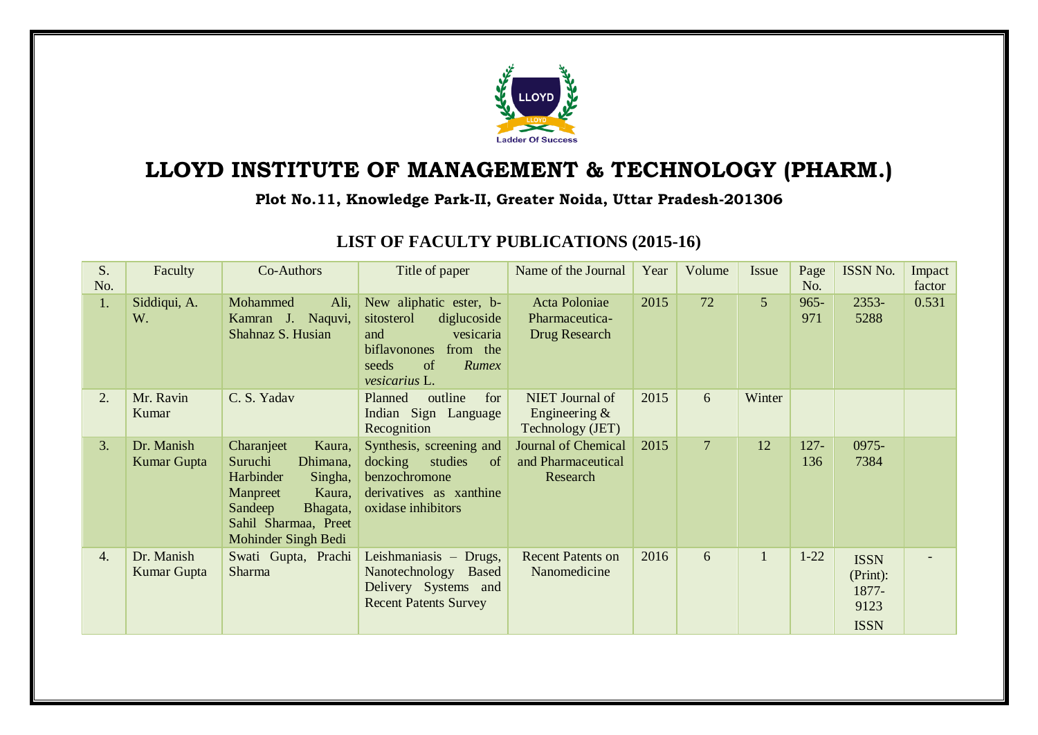

## **LLOYD INSTITUTE OF MANAGEMENT & TECHNOLOGY (PHARM.)**

## **Plot No.11, Knowledge Park-II, Greater Noida, Uttar Pradesh-201306**

| S.<br>No. | Faculty                   | Co-Authors                                                                                                                                                      | Title of paper                                                                                                                                | Name of the Journal                                          | Year | Volume         | Issue          | Page<br>No.    | ISSN No.                                                | Impact<br>factor |
|-----------|---------------------------|-----------------------------------------------------------------------------------------------------------------------------------------------------------------|-----------------------------------------------------------------------------------------------------------------------------------------------|--------------------------------------------------------------|------|----------------|----------------|----------------|---------------------------------------------------------|------------------|
| 1.        | Siddiqui, A.<br>W.        | Mohammed<br>Ali,<br>Kamran J. Naquvi,<br>Shahnaz S. Husian                                                                                                      | New aliphatic ester, b-<br>sitosterol<br>diglucoside<br>and<br>vesicaria<br>biflavonones<br>from the<br>seeds<br>of<br>Rumex<br>vesicarius L. | <b>Acta Poloniae</b><br>Pharmaceutica-<br>Drug Research      | 2015 | 72             | 5 <sup>5</sup> | $965 -$<br>971 | 2353-<br>5288                                           | 0.531            |
| 2.        | Mr. Ravin<br>Kumar        | C. S. Yadav                                                                                                                                                     | outline<br>for<br>Planned<br>Indian Sign Language<br>Recognition                                                                              | NIET Journal of<br>Engineering $&$<br>Technology (JET)       | 2015 | 6              | Winter         |                |                                                         |                  |
| 3.        | Dr. Manish<br>Kumar Gupta | Charanjeet<br>Kaura,<br>Suruchi<br>Dhimana,<br>Harbinder<br>Singha,<br>Manpreet<br>Kaura,<br>Sandeep<br>Bhagata,<br>Sahil Sharmaa, Preet<br>Mohinder Singh Bedi | Synthesis, screening and<br>docking<br>studies<br><sub>of</sub><br>benzochromone<br>derivatives as xanthine<br>oxidase inhibitors             | <b>Journal of Chemical</b><br>and Pharmaceutical<br>Research | 2015 | $\overline{7}$ | 12             | $127 -$<br>136 | 0975-<br>7384                                           |                  |
| 4.        | Dr. Manish<br>Kumar Gupta | Swati Gupta, Prachi<br><b>Sharma</b>                                                                                                                            | Leishmaniasis - Drugs,<br>Nanotechnology Based<br>Delivery Systems and<br><b>Recent Patents Survey</b>                                        | <b>Recent Patents on</b><br>Nanomedicine                     | 2016 | 6              | $\mathbf{1}$   | $1 - 22$       | <b>ISSN</b><br>(Print):<br>1877-<br>9123<br><b>ISSN</b> |                  |

## **LIST OF FACULTY PUBLICATIONS (2015-16)**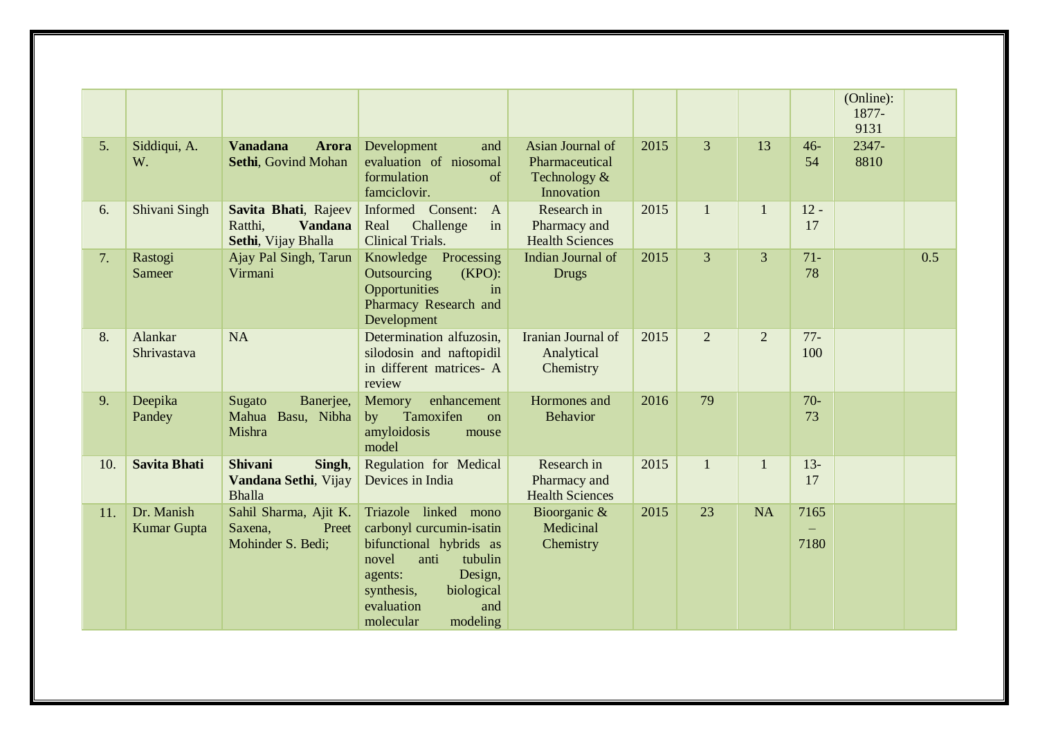|     |                           |                                                                          |                                                                                                                                                                                                         |                                                                    |      |                |                |               | (Online):<br>1877-<br>9131 |     |
|-----|---------------------------|--------------------------------------------------------------------------|---------------------------------------------------------------------------------------------------------------------------------------------------------------------------------------------------------|--------------------------------------------------------------------|------|----------------|----------------|---------------|----------------------------|-----|
| 5.  | Siddiqui, A.<br>W.        | <b>Vanadana</b><br><b>Arora</b><br>Sethi, Govind Mohan                   | Development<br>and<br>evaluation of niosomal<br>formulation<br>of<br>famciclovir.                                                                                                                       | Asian Journal of<br>Pharmaceutical<br>Technology $&$<br>Innovation | 2015 | $\overline{3}$ | 13             | $46-$<br>54   | 2347-<br>8810              |     |
| 6.  | Shivani Singh             | Savita Bhati, Rajeev<br>Ratthi,<br><b>Vandana</b><br>Sethi, Vijay Bhalla | Informed Consent:<br>$\mathbf{A}$<br>Challenge<br>in<br>Real<br><b>Clinical Trials.</b>                                                                                                                 | Research in<br>Pharmacy and<br><b>Health Sciences</b>              | 2015 | $\mathbf{1}$   | $\mathbf{1}$   | $12 -$<br>17  |                            |     |
| 7.  | Rastogi<br>Sameer         | Ajay Pal Singh, Tarun<br>Virmani                                         | Knowledge Processing<br>Outsourcing<br>$(KPO)$ :<br>Opportunities<br>in<br>Pharmacy Research and<br>Development                                                                                         | Indian Journal of<br><b>Drugs</b>                                  | 2015 | $\overline{3}$ | $\overline{3}$ | $71-$<br>78   |                            | 0.5 |
| 8.  | Alankar<br>Shrivastava    | <b>NA</b>                                                                | Determination alfuzosin,<br>silodosin and naftopidil<br>in different matrices- A<br>review                                                                                                              | Iranian Journal of<br>Analytical<br>Chemistry                      | 2015 | $\overline{2}$ | $\overline{2}$ | $77 -$<br>100 |                            |     |
| 9.  | Deepika<br>Pandey         | Banerjee,<br>Sugato<br>Mahua Basu, Nibha<br>Mishra                       | Memory<br>enhancement<br>Tamoxifen<br>by<br>on<br>amyloidosis<br>mouse<br>model                                                                                                                         | Hormones and<br><b>Behavior</b>                                    | 2016 | 79             |                | $70-$<br>73   |                            |     |
| 10. | <b>Savita Bhati</b>       | <b>Shivani</b><br>Singh,<br>Vandana Sethi, Vijay<br><b>Bhalla</b>        | Regulation for Medical<br>Devices in India                                                                                                                                                              | Research in<br>Pharmacy and<br><b>Health Sciences</b>              | 2015 | $\mathbf{1}$   | $\mathbf{1}$   | $13 -$<br>17  |                            |     |
| 11. | Dr. Manish<br>Kumar Gupta | Sahil Sharma, Ajit K.<br>Preet<br>Saxena,<br>Mohinder S. Bedi;           | Triazole linked mono<br>carbonyl curcumin-isatin<br>bifunctional hybrids as<br>novel<br>tubulin<br>anti<br>Design,<br>agents:<br>biological<br>synthesis,<br>evaluation<br>and<br>modeling<br>molecular | Bioorganic &<br>Medicinal<br>Chemistry                             | 2015 | 23             | <b>NA</b>      | 7165<br>7180  |                            |     |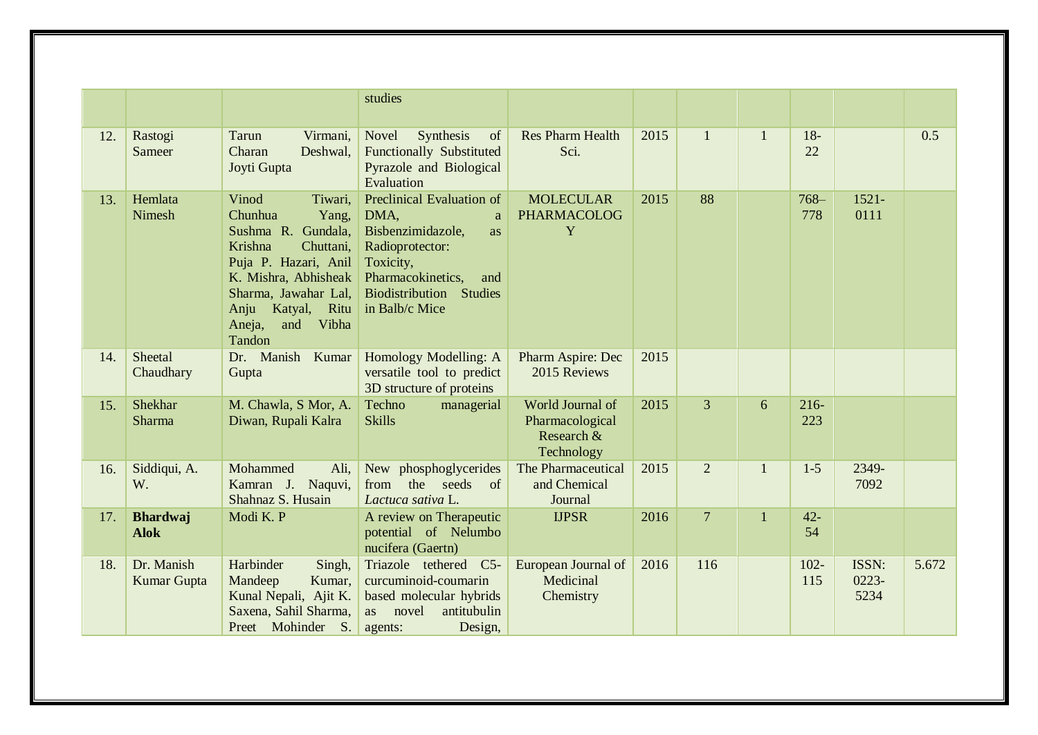|     |                                  |                                                                                                                                                                                                                        | studies                                                                                                                                                                              |                                                                 |      |                |              |                |                           |       |
|-----|----------------------------------|------------------------------------------------------------------------------------------------------------------------------------------------------------------------------------------------------------------------|--------------------------------------------------------------------------------------------------------------------------------------------------------------------------------------|-----------------------------------------------------------------|------|----------------|--------------|----------------|---------------------------|-------|
| 12. | Rastogi<br>Sameer                | Tarun<br>Virmani,<br>Charan<br>Deshwal,<br>Joyti Gupta                                                                                                                                                                 | Novel<br>Synthesis<br>of<br><b>Functionally Substituted</b><br>Pyrazole and Biological<br>Evaluation                                                                                 | <b>Res Pharm Health</b><br>Sci.                                 | 2015 | $\mathbf{1}$   | $\mathbf{1}$ | $18 -$<br>22   |                           | 0.5   |
| 13. | Hemlata<br>Nimesh                | Vinod<br>Tiwari,<br>Chunhua<br>Yang,<br>Sushma R. Gundala,<br>Krishna<br>Chuttani,<br>Puja P. Hazari, Anil<br>K. Mishra, Abhisheak<br>Sharma, Jawahar Lal,<br>Katyal, Ritu<br>Anju<br>Vibha<br>Aneja,<br>and<br>Tandon | Preclinical Evaluation of<br>DMA,<br>a<br>Bisbenzimidazole,<br>as<br>Radioprotector:<br>Toxicity,<br>Pharmacokinetics,<br>and<br>Biodistribution<br><b>Studies</b><br>in Balb/c Mice | <b>MOLECULAR</b><br><b>PHARMACOLOG</b><br>Y                     | 2015 | 88             |              | $768-$<br>778  | $1521 -$<br>0111          |       |
| 14. | Sheetal<br>Chaudhary             | Dr. Manish<br>Kumar<br>Gupta                                                                                                                                                                                           | Homology Modelling: A<br>versatile tool to predict<br>3D structure of proteins                                                                                                       | Pharm Aspire: Dec<br>2015 Reviews                               | 2015 |                |              |                |                           |       |
| 15. | Shekhar<br>Sharma                | M. Chawla, S Mor, A.<br>Diwan, Rupali Kalra                                                                                                                                                                            | Techno<br>managerial<br><b>Skills</b>                                                                                                                                                | World Journal of<br>Pharmacological<br>Research &<br>Technology | 2015 | $\overline{3}$ | 6            | $216 -$<br>223 |                           |       |
| 16. | Siddiqui, A.<br>W.               | Mohammed<br>Ali,<br>Kamran J. Naquvi,<br>Shahnaz S. Husain                                                                                                                                                             | New phosphoglycerides<br>the<br>seeds<br>from<br>of<br>Lactuca sativa L.                                                                                                             | The Pharmaceutical<br>and Chemical<br>Journal                   | 2015 | $\overline{2}$ | $\mathbf{1}$ | $1-5$          | 2349-<br>7092             |       |
| 17. | <b>Bhardwaj</b><br><b>Alok</b>   | Modi K. P                                                                                                                                                                                                              | A review on Therapeutic<br>potential of Nelumbo<br>nucifera (Gaertn)                                                                                                                 | <b>IJPSR</b>                                                    | 2016 | $\overline{7}$ | $\mathbf{1}$ | $42 -$<br>54   |                           |       |
| 18. | Dr. Manish<br><b>Kumar Gupta</b> | Harbinder<br>Singh,<br>Kumar,<br>Mandeep<br>Kunal Nepali, Ajit K.<br>Saxena, Sahil Sharma,<br>Preet Mohinder<br><b>S.</b>                                                                                              | Triazole tethered C5-<br>curcuminoid-coumarin<br>based molecular hybrids<br>novel<br>antitubulin<br>as<br>Design,<br>agents:                                                         | European Journal of<br>Medicinal<br>Chemistry                   | 2016 | 116            |              | $102 -$<br>115 | ISSN:<br>$0223 -$<br>5234 | 5.672 |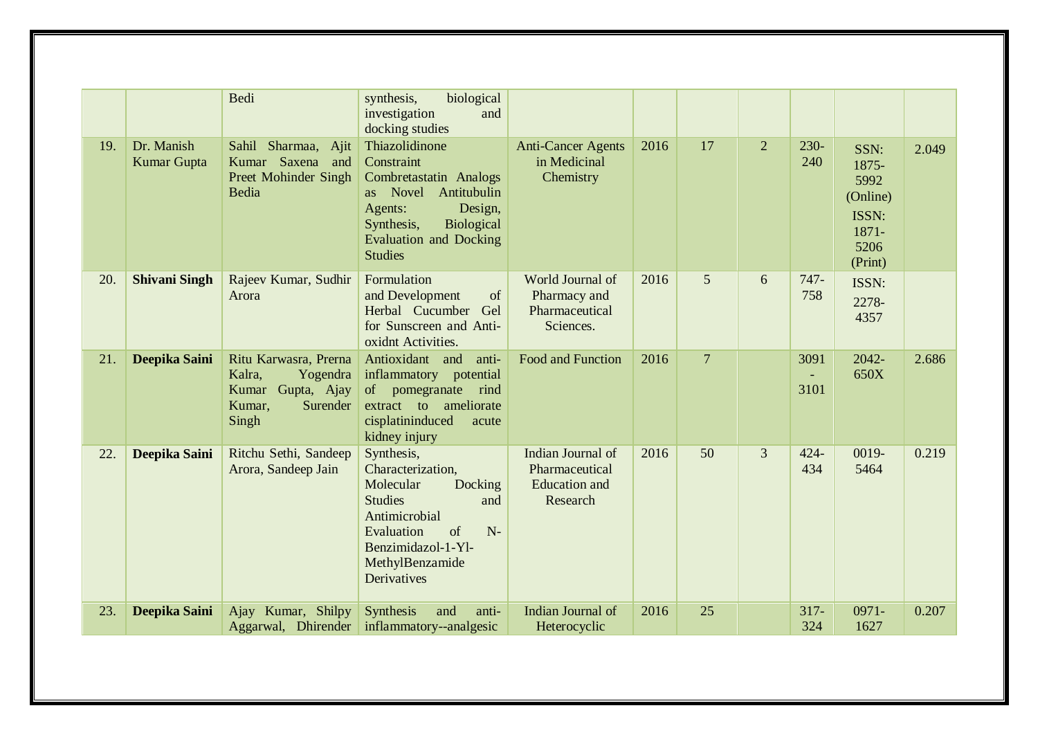|     |                           | Bedi                                                                                            | biological<br>synthesis,<br>investigation<br>and<br>docking studies                                                                                                                         |                                                                         |      |                |                |                                |                                                                        |       |
|-----|---------------------------|-------------------------------------------------------------------------------------------------|---------------------------------------------------------------------------------------------------------------------------------------------------------------------------------------------|-------------------------------------------------------------------------|------|----------------|----------------|--------------------------------|------------------------------------------------------------------------|-------|
| 19. | Dr. Manish<br>Kumar Gupta | Sahil Sharmaa, Ajit<br>Kumar Saxena and<br><b>Preet Mohinder Singh</b><br>Bedia                 | Thiazolidinone<br>Constraint<br>Combretastatin Analogs<br>as Novel<br>Antitubulin<br>Design,<br>Agents:<br>Synthesis,<br>Biological<br><b>Evaluation and Docking</b><br><b>Studies</b>      | <b>Anti-Cancer Agents</b><br>in Medicinal<br>Chemistry                  | 2016 | 17             | $\overline{2}$ | $230-$<br>240                  | SSN:<br>1875-<br>5992<br>(Online)<br>ISSN:<br>1871-<br>5206<br>(Print) | 2.049 |
| 20. | <b>Shivani Singh</b>      | Rajeev Kumar, Sudhir<br>Arora                                                                   | Formulation<br>and Development<br>of<br>Herbal Cucumber Gel<br>for Sunscreen and Anti-<br>oxidnt Activities.                                                                                | World Journal of<br>Pharmacy and<br>Pharmaceutical<br>Sciences.         | 2016 | 5              | 6              | $747 -$<br>758                 | ISSN:<br>2278-<br>4357                                                 |       |
| 21. | Deepika Saini             | Ritu Karwasra, Prerna<br>Kalra,<br>Yogendra<br>Kumar Gupta, Ajay<br>Kumar,<br>Surender<br>Singh | Antioxidant and<br>anti-<br>inflammatory potential<br>of pomegranate<br>rind<br>extract to ameliorate<br>cisplatininduced<br>acute<br>kidney injury                                         | <b>Food and Function</b>                                                | 2016 | $\overline{7}$ |                | 3091<br>$\blacksquare$<br>3101 | 2042-<br>650X                                                          | 2.686 |
| 22. | Deepika Saini             | Ritchu Sethi, Sandeep<br>Arora, Sandeep Jain                                                    | Synthesis,<br>Characterization,<br>Molecular<br>Docking<br><b>Studies</b><br>and<br>Antimicrobial<br>$\sigma$<br>$N-$<br>Evaluation<br>Benzimidazol-1-Yl-<br>MethylBenzamide<br>Derivatives | Indian Journal of<br>Pharmaceutical<br><b>Education</b> and<br>Research | 2016 | 50             | $\overline{3}$ | $424 -$<br>434                 | 0019-<br>5464                                                          | 0.219 |
| 23. | Deepika Saini             | Ajay Kumar, Shilpy<br>Aggarwal, Dhirender                                                       | Synthesis<br>and<br>anti-<br>inflammatory--analgesic                                                                                                                                        | Indian Journal of<br>Heterocyclic                                       | 2016 | 25             |                | $317 -$<br>324                 | $0971 -$<br>1627                                                       | 0.207 |